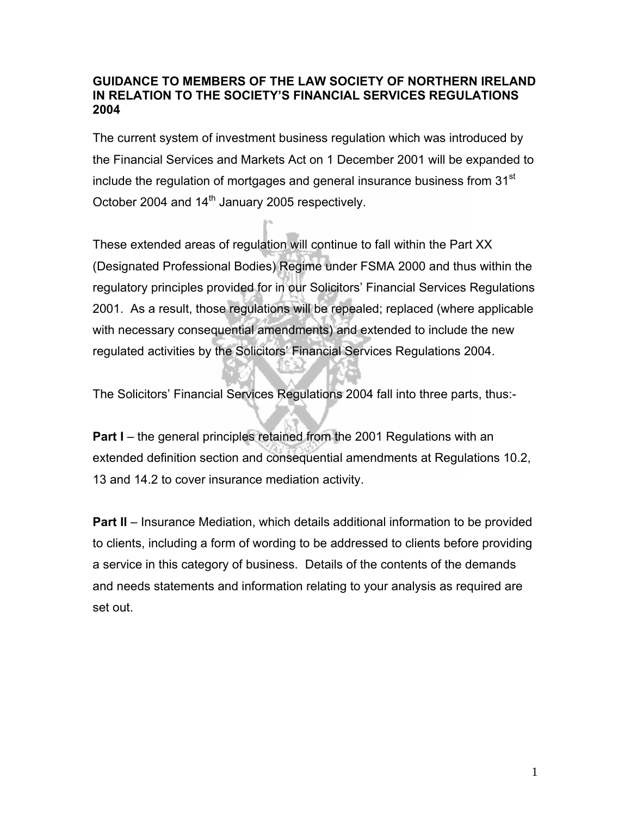#### **GUIDANCE TO MEMBERS OF THE LAW SOCIETY OF NORTHERN IRELAND IN RELATION TO THE SOCIETY'S FINANCIAL SERVICES REGULATIONS 2004**

The current system of investment business regulation which was introduced by the Financial Services and Markets Act on 1 December 2001 will be expanded to include the regulation of mortgages and general insurance business from  $31<sup>st</sup>$ October 2004 and 14<sup>th</sup> January 2005 respectively.

These extended areas of regulation will continue to fall within the Part XX (Designated Professional Bodies) Regime under FSMA 2000 and thus within the regulatory principles provided for in our Solicitors' Financial Services Regulations 2001. As a result, those regulations will be repealed; replaced (where applicable with necessary consequential amendments) and extended to include the new regulated activities by the Solicitors' Financial Services Regulations 2004.

The Solicitors' Financial Services Regulations 2004 fall into three parts, thus:-

**Part I** – the general principles retained from the 2001 Regulations with an extended definition section and consequential amendments at Regulations 10.2, 13 and 14.2 to cover insurance mediation activity.

**Part II** – Insurance Mediation, which details additional information to be provided to clients, including a form of wording to be addressed to clients before providing a service in this category of business. Details of the contents of the demands and needs statements and information relating to your analysis as required are set out.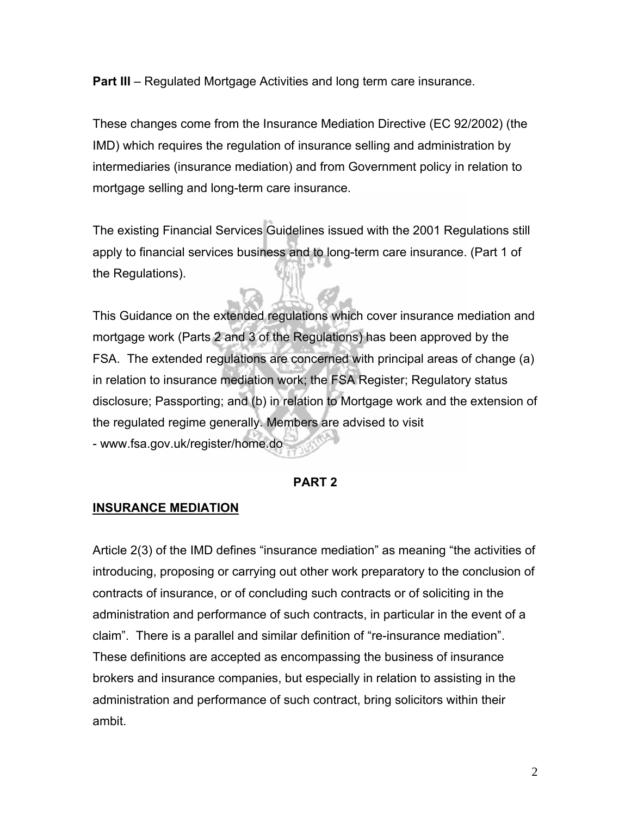**Part III** – Regulated Mortgage Activities and long term care insurance.

These changes come from the Insurance Mediation Directive (EC 92/2002) (the IMD) which requires the regulation of insurance selling and administration by intermediaries (insurance mediation) and from Government policy in relation to mortgage selling and long-term care insurance.

The existing Financial Services Guidelines issued with the 2001 Regulations still apply to financial services business and to long-term care insurance. (Part 1 of the Regulations).

This Guidance on the extended regulations which cover insurance mediation and mortgage work (Parts 2 and 3 of the Regulations) has been approved by the FSA. The extended regulations are concerned with principal areas of change (a) in relation to insurance mediation work; the FSA Register; Regulatory status disclosure; Passporting; and (b) in relation to Mortgage work and the extension of the regulated regime generally. Members are advised to visit - www.fsa.gov.uk/register/home.do

#### **PART 2**

#### **INSURANCE MEDIATION**

Article 2(3) of the IMD defines "insurance mediation" as meaning "the activities of introducing, proposing or carrying out other work preparatory to the conclusion of contracts of insurance, or of concluding such contracts or of soliciting in the administration and performance of such contracts, in particular in the event of a claim". There is a parallel and similar definition of "re-insurance mediation". These definitions are accepted as encompassing the business of insurance brokers and insurance companies, but especially in relation to assisting in the administration and performance of such contract, bring solicitors within their ambit.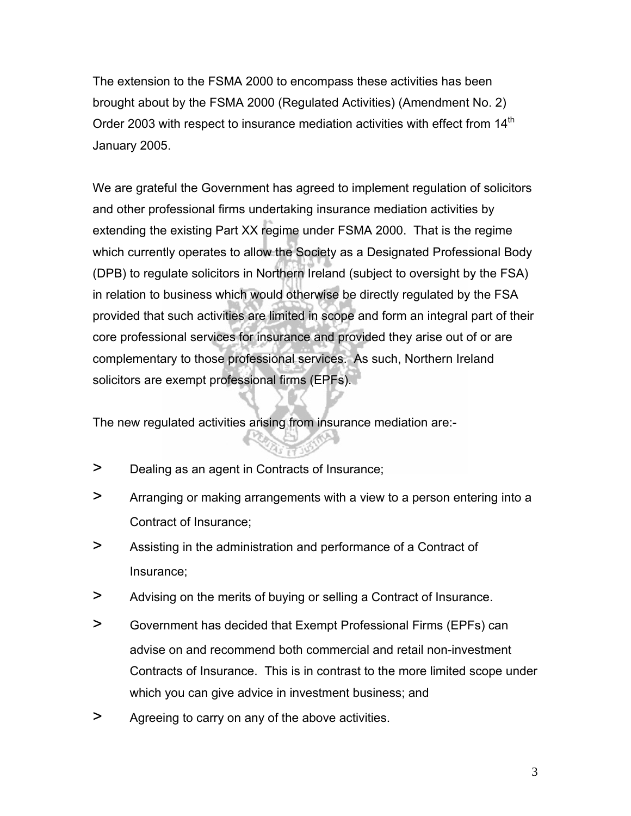The extension to the FSMA 2000 to encompass these activities has been brought about by the FSMA 2000 (Regulated Activities) (Amendment No. 2) Order 2003 with respect to insurance mediation activities with effect from  $14<sup>th</sup>$ January 2005.

We are grateful the Government has agreed to implement regulation of solicitors and other professional firms undertaking insurance mediation activities by extending the existing Part XX regime under FSMA 2000. That is the regime which currently operates to allow the Society as a Designated Professional Body (DPB) to regulate solicitors in Northern Ireland (subject to oversight by the FSA) in relation to business which would otherwise be directly regulated by the FSA provided that such activities are limited in scope and form an integral part of their core professional services for insurance and provided they arise out of or are complementary to those professional services. As such, Northern Ireland solicitors are exempt professional firms (EPFs).

The new regulated activities arising from insurance mediation are:-

- > Dealing as an agent in Contracts of Insurance;
- > Arranging or making arrangements with a view to a person entering into a Contract of Insurance;
- > Assisting in the administration and performance of a Contract of Insurance;
- > Advising on the merits of buying or selling a Contract of Insurance.
- > Government has decided that Exempt Professional Firms (EPFs) can advise on and recommend both commercial and retail non-investment Contracts of Insurance. This is in contrast to the more limited scope under which you can give advice in investment business; and
- > Agreeing to carry on any of the above activities.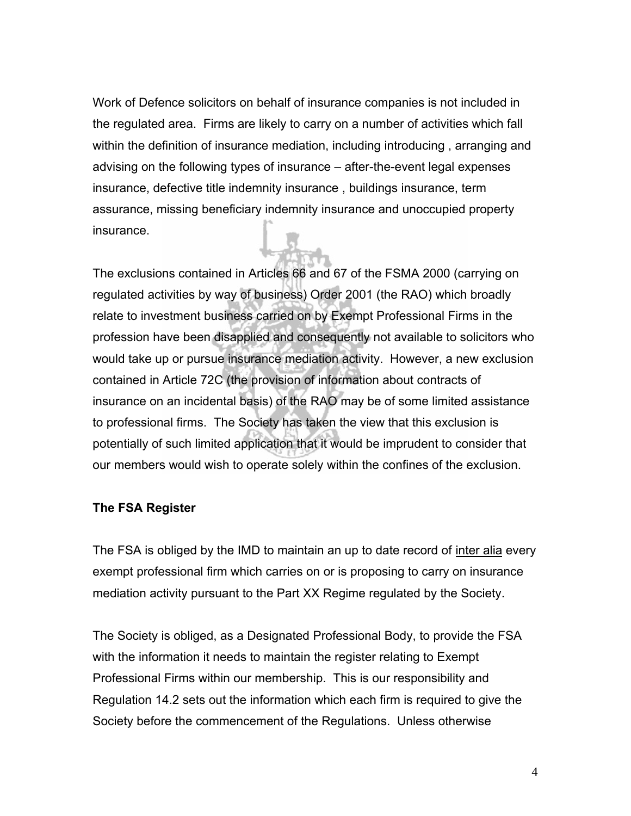Work of Defence solicitors on behalf of insurance companies is not included in the regulated area. Firms are likely to carry on a number of activities which fall within the definition of insurance mediation, including introducing , arranging and advising on the following types of insurance – after-the-event legal expenses insurance, defective title indemnity insurance , buildings insurance, term assurance, missing beneficiary indemnity insurance and unoccupied property insurance.

The exclusions contained in Articles 66 and 67 of the FSMA 2000 (carrying on regulated activities by way of business) Order 2001 (the RAO) which broadly relate to investment business carried on by Exempt Professional Firms in the profession have been disapplied and consequently not available to solicitors who would take up or pursue insurance mediation activity. However, a new exclusion contained in Article 72C (the provision of information about contracts of insurance on an incidental basis) of the RAO may be of some limited assistance to professional firms. The Society has taken the view that this exclusion is potentially of such limited application that it would be imprudent to consider that our members would wish to operate solely within the confines of the exclusion.

### **The FSA Register**

The FSA is obliged by the IMD to maintain an up to date record of inter alia every exempt professional firm which carries on or is proposing to carry on insurance mediation activity pursuant to the Part XX Regime regulated by the Society.

The Society is obliged, as a Designated Professional Body, to provide the FSA with the information it needs to maintain the register relating to Exempt Professional Firms within our membership. This is our responsibility and Regulation 14.2 sets out the information which each firm is required to give the Society before the commencement of the Regulations. Unless otherwise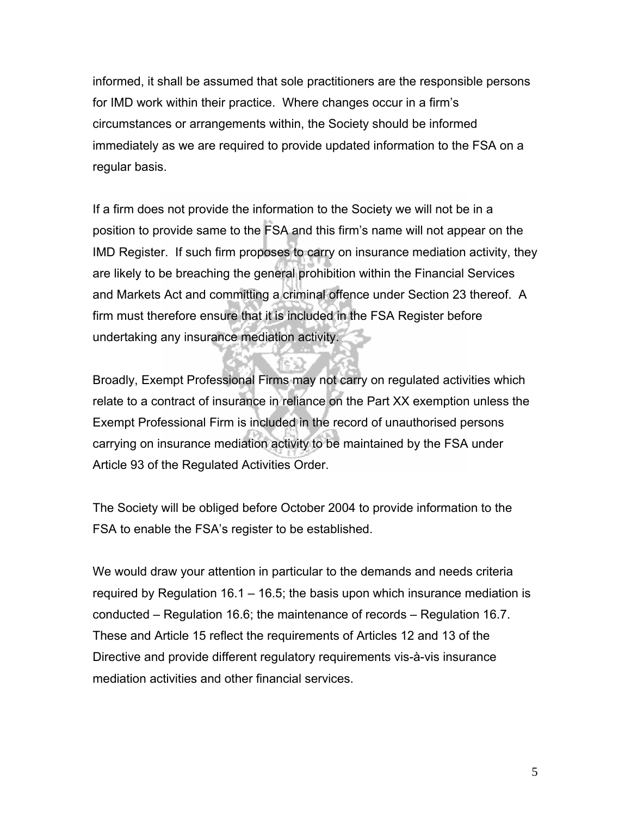informed, it shall be assumed that sole practitioners are the responsible persons for IMD work within their practice. Where changes occur in a firm's circumstances or arrangements within, the Society should be informed immediately as we are required to provide updated information to the FSA on a regular basis.

If a firm does not provide the information to the Society we will not be in a position to provide same to the FSA and this firm's name will not appear on the IMD Register. If such firm proposes to carry on insurance mediation activity, they are likely to be breaching the general prohibition within the Financial Services and Markets Act and committing a criminal offence under Section 23 thereof. A firm must therefore ensure that it is included in the FSA Register before undertaking any insurance mediation activity.

Broadly, Exempt Professional Firms may not carry on regulated activities which relate to a contract of insurance in reliance on the Part XX exemption unless the Exempt Professional Firm is included in the record of unauthorised persons carrying on insurance mediation activity to be maintained by the FSA under Article 93 of the Regulated Activities Order.

The Society will be obliged before October 2004 to provide information to the FSA to enable the FSA's register to be established.

We would draw your attention in particular to the demands and needs criteria required by Regulation 16.1 – 16.5; the basis upon which insurance mediation is conducted – Regulation 16.6; the maintenance of records – Regulation 16.7. These and Article 15 reflect the requirements of Articles 12 and 13 of the Directive and provide different regulatory requirements vis-à-vis insurance mediation activities and other financial services.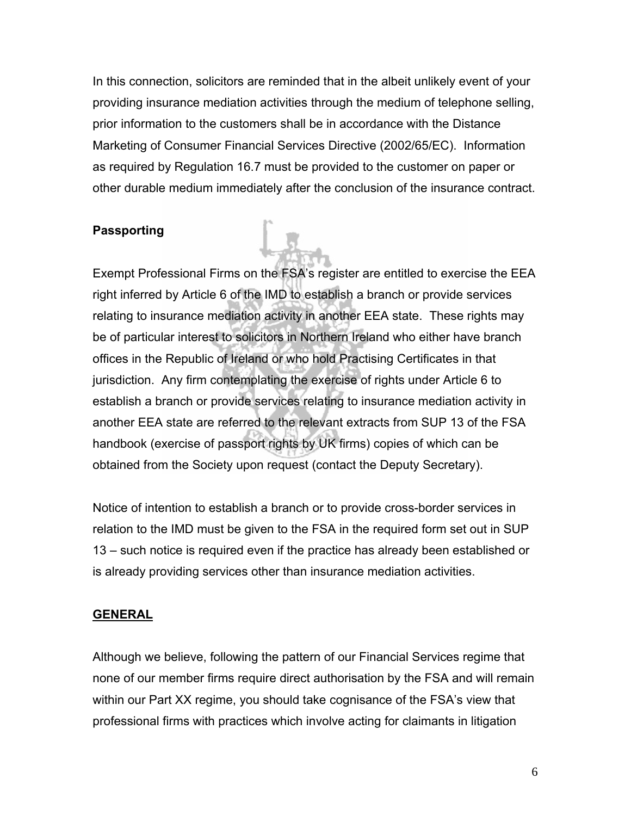In this connection, solicitors are reminded that in the albeit unlikely event of your providing insurance mediation activities through the medium of telephone selling, prior information to the customers shall be in accordance with the Distance Marketing of Consumer Financial Services Directive (2002/65/EC). Information as required by Regulation 16.7 must be provided to the customer on paper or other durable medium immediately after the conclusion of the insurance contract.

## **Passporting**

Exempt Professional Firms on the FSA's register are entitled to exercise the EEA right inferred by Article 6 of the IMD to establish a branch or provide services relating to insurance mediation activity in another EEA state. These rights may be of particular interest to solicitors in Northern Ireland who either have branch offices in the Republic of Ireland or who hold Practising Certificates in that jurisdiction. Any firm contemplating the exercise of rights under Article 6 to establish a branch or provide services relating to insurance mediation activity in another EEA state are referred to the relevant extracts from SUP 13 of the FSA handbook (exercise of passport rights by UK firms) copies of which can be obtained from the Society upon request (contact the Deputy Secretary).

Notice of intention to establish a branch or to provide cross-border services in relation to the IMD must be given to the FSA in the required form set out in SUP 13 – such notice is required even if the practice has already been established or is already providing services other than insurance mediation activities.

#### **GENERAL**

Although we believe, following the pattern of our Financial Services regime that none of our member firms require direct authorisation by the FSA and will remain within our Part XX regime, you should take cognisance of the FSA's view that professional firms with practices which involve acting for claimants in litigation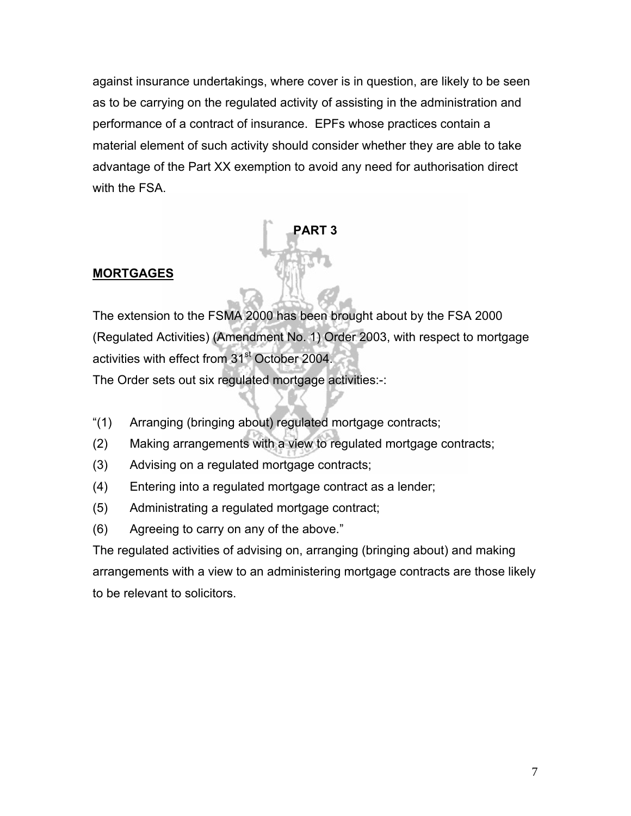against insurance undertakings, where cover is in question, are likely to be seen as to be carrying on the regulated activity of assisting in the administration and performance of a contract of insurance. EPFs whose practices contain a material element of such activity should consider whether they are able to take advantage of the Part XX exemption to avoid any need for authorisation direct with the FSA.

**PART 3** 

# **MORTGAGES**

The extension to the FSMA 2000 has been brought about by the FSA 2000 (Regulated Activities) (Amendment No. 1) Order 2003, with respect to mortgage activities with effect from 31<sup>st</sup> October 2004.

The Order sets out six regulated mortgage activities:-:

- "(1) Arranging (bringing about) regulated mortgage contracts;
- (2) Making arrangements with a view to regulated mortgage contracts;
- (3) Advising on a regulated mortgage contracts;
- (4) Entering into a regulated mortgage contract as a lender;
- (5) Administrating a regulated mortgage contract;
- (6) Agreeing to carry on any of the above."

The regulated activities of advising on, arranging (bringing about) and making arrangements with a view to an administering mortgage contracts are those likely to be relevant to solicitors.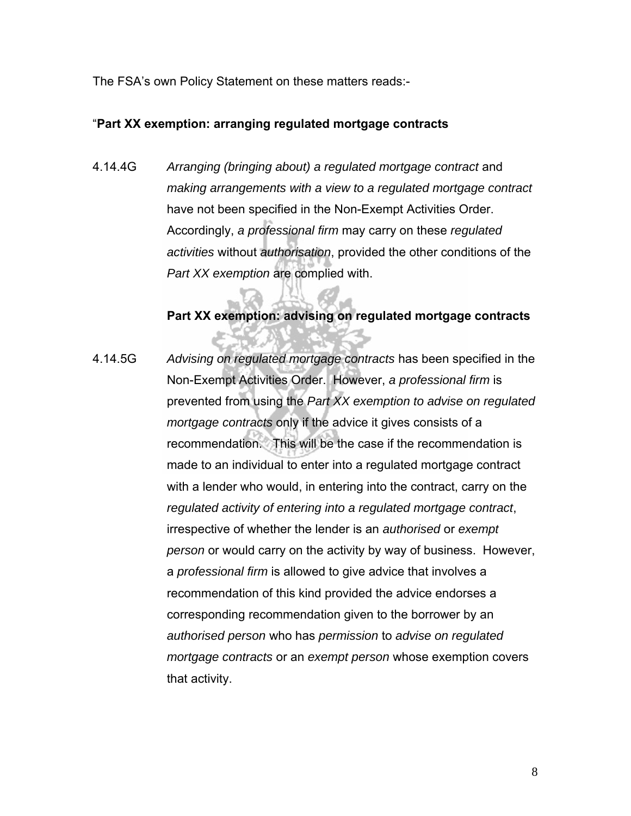The FSA's own Policy Statement on these matters reads:-

#### "**Part XX exemption: arranging regulated mortgage contracts**

4.14.4G *Arranging (bringing about) a regulated mortgage contract* and *making arrangements with a view to a regulated mortgage contract* have not been specified in the Non-Exempt Activities Order. Accordingly, *a professional firm* may carry on these *regulated activities* without *authorisation*, provided the other conditions of the *Part XX exemption* are complied with.

## **Part XX exemption: advising on regulated mortgage contracts**

4.14.5G *Advising on regulated mortgage contracts* has been specified in the Non-Exempt Activities Order. However, *a professional firm* is prevented from using the *Part XX exemption to advise on regulated mortgage contracts* only if the advice it gives consists of a recommendation. This will be the case if the recommendation is made to an individual to enter into a regulated mortgage contract with a lender who would, in entering into the contract, carry on the *regulated activity of entering into a regulated mortgage contract*, irrespective of whether the lender is an *authorised* or *exempt person* or would carry on the activity by way of business. However, a *professional firm* is allowed to give advice that involves a recommendation of this kind provided the advice endorses a corresponding recommendation given to the borrower by an *authorised person* who has *permission* to *advise on regulated mortgage contracts* or an *exempt person* whose exemption covers that activity.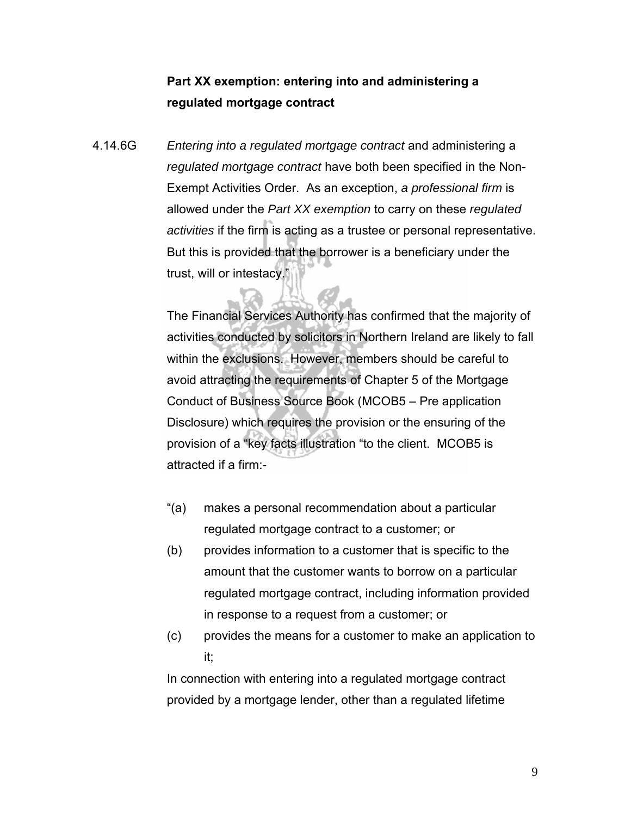## **Part XX exemption: entering into and administering a regulated mortgage contract**

4.14.6G *Entering into a regulated mortgage contract* and administering a *regulated mortgage contract* have both been specified in the Non-Exempt Activities Order. As an exception, *a professional firm* is allowed under the *Part XX exemption* to carry on these *regulated activities* if the firm is acting as a trustee or personal representative. But this is provided that the borrower is a beneficiary under the trust, will or intestacy."

> The Financial Services Authority has confirmed that the majority of activities conducted by solicitors in Northern Ireland are likely to fall within the exclusions. However, members should be careful to avoid attracting the requirements of Chapter 5 of the Mortgage Conduct of Business Source Book (MCOB5 – Pre application Disclosure) which requires the provision or the ensuring of the provision of a "key facts illustration "to the client. MCOB5 is attracted if a firm:-

- "(a) makes a personal recommendation about a particular regulated mortgage contract to a customer; or
- (b) provides information to a customer that is specific to the amount that the customer wants to borrow on a particular regulated mortgage contract, including information provided in response to a request from a customer; or
- (c) provides the means for a customer to make an application to it;

In connection with entering into a regulated mortgage contract provided by a mortgage lender, other than a regulated lifetime